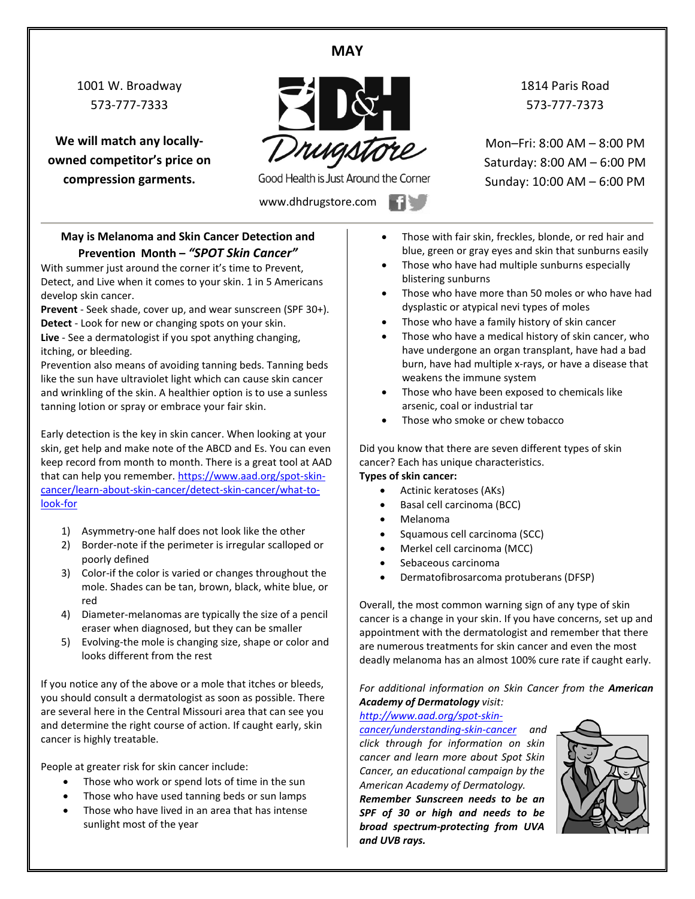## **MAY**

1001 W. Broadway 573-777-7333

**We will match any locallyowned competitor's price on compression garments.**



Good Health is Just Around the Corner

www.dhdrugstore.com

1814 Paris Road 573-777-7373

Mon–Fri: 8:00 AM – 8:00 PM Saturday: 8:00 AM – 6:00 PM Sunday: 10:00 AM – 6:00 PM

**May is Melanoma and Skin Cancer Detection and Prevention Month –** *"SPOT Skin Cancer"*

With summer just around the corner it's time to Prevent, Detect, and Live when it comes to your skin. 1 in 5 Americans develop skin cancer.

**Prevent** - Seek shade, cover up, and wear sunscreen (SPF 30+). **Detect** - Look for new or changing spots on your skin.

**Live** - See a dermatologist if you spot anything changing, itching, or bleeding.

Prevention also means of avoiding tanning beds. Tanning beds like the sun have ultraviolet light which can cause skin cancer and wrinkling of the skin. A healthier option is to use a sunless tanning lotion or spray or embrace your fair skin.

Early detection is the key in skin cancer. When looking at your skin, get help and make note of the ABCD and Es. You can even keep record from month to month. There is a great tool at AAD that can help you remember. [https://www.aad.org/spot-skin](https://www.aad.org/spot-skin-cancer/learn-about-skin-cancer/detect-skin-cancer/what-to-look-for)[cancer/learn-about-skin-cancer/detect-skin-cancer/what-to](https://www.aad.org/spot-skin-cancer/learn-about-skin-cancer/detect-skin-cancer/what-to-look-for)[look-for](https://www.aad.org/spot-skin-cancer/learn-about-skin-cancer/detect-skin-cancer/what-to-look-for)

- 1) Asymmetry-one half does not look like the other
- 2) Border-note if the perimeter is irregular scalloped or poorly defined
- 3) Color-if the color is varied or changes throughout the mole. Shades can be tan, brown, black, white blue, or red
- 4) Diameter-melanomas are typically the size of a pencil eraser when diagnosed, but they can be smaller
- 5) Evolving-the mole is changing size, shape or color and looks different from the rest

If you notice any of the above or a mole that itches or bleeds, you should consult a dermatologist as soon as possible. There are several here in the Central Missouri area that can see you and determine the right course of action. If caught early, skin cancer is highly treatable.

People at greater risk for skin cancer include:

- Those who work or spend lots of time in the sun
- Those who have used tanning beds or sun lamps
- Those who have lived in an area that has intense sunlight most of the year
- Those with fair skin, freckles, blonde, or red hair and blue, green or gray eyes and skin that sunburns easily
- Those who have had multiple sunburns especially blistering sunburns
- Those who have more than 50 moles or who have had dysplastic or atypical nevi types of moles
- Those who have a family history of skin cancer
- Those who have a medical history of skin cancer, who have undergone an organ transplant, have had a bad burn, have had multiple x-rays, or have a disease that weakens the immune system
- Those who have been exposed to chemicals like arsenic, coal or industrial tar
- Those who smoke or chew tobacco

Did you know that there are seven different types of skin cancer? Each has unique characteristics.

### **Types of skin cancer:**

- Actinic keratoses (AKs)
- Basal cell carcinoma (BCC)
- Melanoma
- Squamous cell carcinoma (SCC)
- Merkel cell carcinoma (MCC)
- Sebaceous carcinoma
- Dermatofibrosarcoma protuberans (DFSP)

Overall, the most common warning sign of any type of skin cancer is a change in your skin. If you have concerns, set up and appointment with the dermatologist and remember that there are numerous treatments for skin cancer and even the most deadly melanoma has an almost 100% cure rate if caught early.

*For additional information on Skin Cancer from the American Academy of Dermatology visit:*

#### *[http://www.aad.org/spot-skin-](http://www.aad.org/spot-skin-cancer/understanding-skin-cancer)*

*[cancer/understanding-skin-cancer](http://www.aad.org/spot-skin-cancer/understanding-skin-cancer) and click through for information on skin cancer and learn more about Spot Skin Cancer, an educational campaign by the American Academy of Dermatology.*

*Remember Sunscreen needs to be an SPF of 30 or high and needs to be broad spectrum-protecting from UVA and UVB rays.*